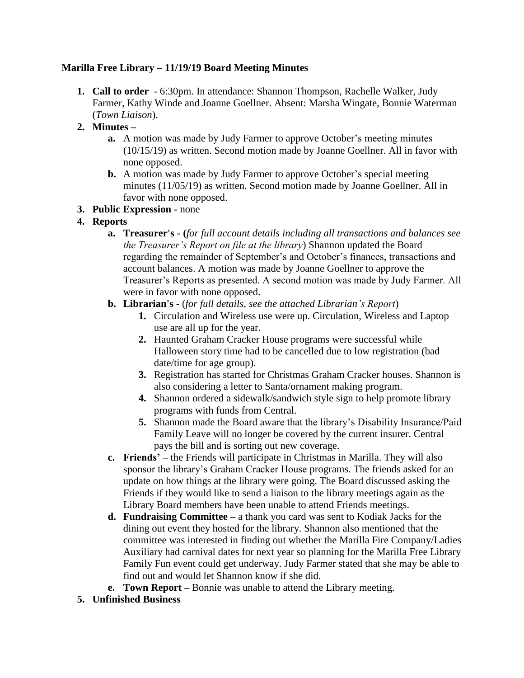### **Marilla Free Library – 11/19/19 Board Meeting Minutes**

- **1. Call to order** 6:30pm. In attendance: Shannon Thompson, Rachelle Walker, Judy Farmer, Kathy Winde and Joanne Goellner. Absent: Marsha Wingate, Bonnie Waterman (*Town Liaison*).
- **2. Minutes –**
	- **a.** A motion was made by Judy Farmer to approve October's meeting minutes (10/15/19) as written. Second motion made by Joanne Goellner. All in favor with none opposed.
	- **b.** A motion was made by Judy Farmer to approve October's special meeting minutes (11/05/19) as written. Second motion made by Joanne Goellner. All in favor with none opposed.
- **3. Public Expression -** none
- **4. Reports**
	- **a. Treasurer's - (***for full account details including all transactions and balances see the Treasurer's Report on file at the library*) Shannon updated the Board regarding the remainder of September's and October's finances, transactions and account balances. A motion was made by Joanne Goellner to approve the Treasurer's Reports as presented. A second motion was made by Judy Farmer. All were in favor with none opposed.
	- **b. Librarian's -** (*for full details, see the attached Librarian's Report*)
		- **1.** Circulation and Wireless use were up. Circulation, Wireless and Laptop use are all up for the year.
		- **2.** Haunted Graham Cracker House programs were successful while Halloween story time had to be cancelled due to low registration (bad date/time for age group).
		- **3.** Registration has started for Christmas Graham Cracker houses. Shannon is also considering a letter to Santa/ornament making program.
		- **4.** Shannon ordered a sidewalk/sandwich style sign to help promote library programs with funds from Central.
		- **5.** Shannon made the Board aware that the library's Disability Insurance/Paid Family Leave will no longer be covered by the current insurer. Central pays the bill and is sorting out new coverage.
	- **c. Friends' –** the Friends will participate in Christmas in Marilla. They will also sponsor the library's Graham Cracker House programs. The friends asked for an update on how things at the library were going. The Board discussed asking the Friends if they would like to send a liaison to the library meetings again as the Library Board members have been unable to attend Friends meetings.
	- **d. Fundraising Committee –** a thank you card was sent to Kodiak Jacks for the dining out event they hosted for the library. Shannon also mentioned that the committee was interested in finding out whether the Marilla Fire Company/Ladies Auxiliary had carnival dates for next year so planning for the Marilla Free Library Family Fun event could get underway. Judy Farmer stated that she may be able to find out and would let Shannon know if she did.
	- **e. Town Report –** Bonnie was unable to attend the Library meeting.
- **5. Unfinished Business**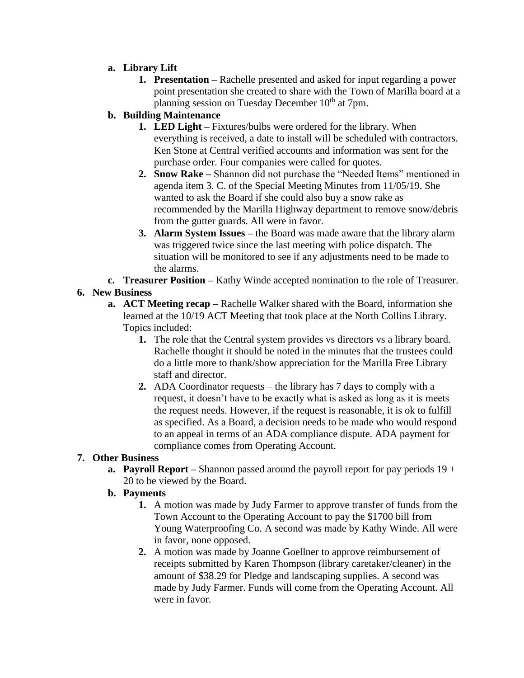- **a. Library Lift**
	- **1. Presentation –** Rachelle presented and asked for input regarding a power point presentation she created to share with the Town of Marilla board at a planning session on Tuesday December  $10^{th}$  at 7pm.

# **b. Building Maintenance**

- **1. LED Light –** Fixtures/bulbs were ordered for the library. When everything is received, a date to install will be scheduled with contractors. Ken Stone at Central verified accounts and information was sent for the purchase order. Four companies were called for quotes.
- **2. Snow Rake –** Shannon did not purchase the "Needed Items" mentioned in agenda item 3. C. of the Special Meeting Minutes from 11/05/19. She wanted to ask the Board if she could also buy a snow rake as recommended by the Marilla Highway department to remove snow/debris from the gutter guards. All were in favor.
- **3. Alarm System Issues –** the Board was made aware that the library alarm was triggered twice since the last meeting with police dispatch. The situation will be monitored to see if any adjustments need to be made to the alarms.
- **c. Treasurer Position –** Kathy Winde accepted nomination to the role of Treasurer.

# **6. New Business**

- **a. ACT Meeting recap –** Rachelle Walker shared with the Board, information she learned at the 10/19 ACT Meeting that took place at the North Collins Library. Topics included:
	- **1.** The role that the Central system provides vs directors vs a library board. Rachelle thought it should be noted in the minutes that the trustees could do a little more to thank/show appreciation for the Marilla Free Library staff and director.
	- **2.** ADA Coordinator requests the library has 7 days to comply with a request, it doesn't have to be exactly what is asked as long as it is meets the request needs. However, if the request is reasonable, it is ok to fulfill as specified. As a Board, a decision needs to be made who would respond to an appeal in terms of an ADA compliance dispute. ADA payment for compliance comes from Operating Account.

# **7. Other Business**

**a. Payroll Report –** Shannon passed around the payroll report for pay periods 19 + 20 to be viewed by the Board.

# **b. Payments**

- **1.** A motion was made by Judy Farmer to approve transfer of funds from the Town Account to the Operating Account to pay the \$1700 bill from Young Waterproofing Co. A second was made by Kathy Winde. All were in favor, none opposed.
- **2.** A motion was made by Joanne Goellner to approve reimbursement of receipts submitted by Karen Thompson (library caretaker/cleaner) in the amount of \$38.29 for Pledge and landscaping supplies. A second was made by Judy Farmer. Funds will come from the Operating Account. All were in favor.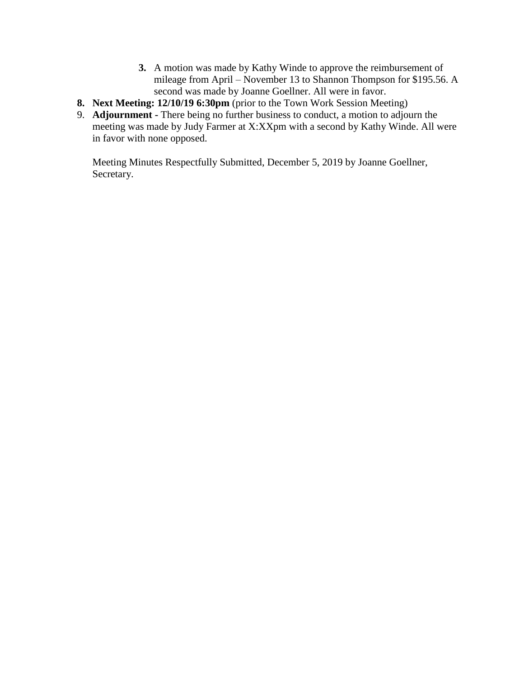- **3.** A motion was made by Kathy Winde to approve the reimbursement of mileage from April – November 13 to Shannon Thompson for \$195.56. A second was made by Joanne Goellner. All were in favor.
- **8. Next Meeting: 12/10/19 6:30pm** (prior to the Town Work Session Meeting)
- 9. **Adjournment -** There being no further business to conduct, a motion to adjourn the meeting was made by Judy Farmer at X:XXpm with a second by Kathy Winde. All were in favor with none opposed.

Meeting Minutes Respectfully Submitted, December 5, 2019 by Joanne Goellner, Secretary.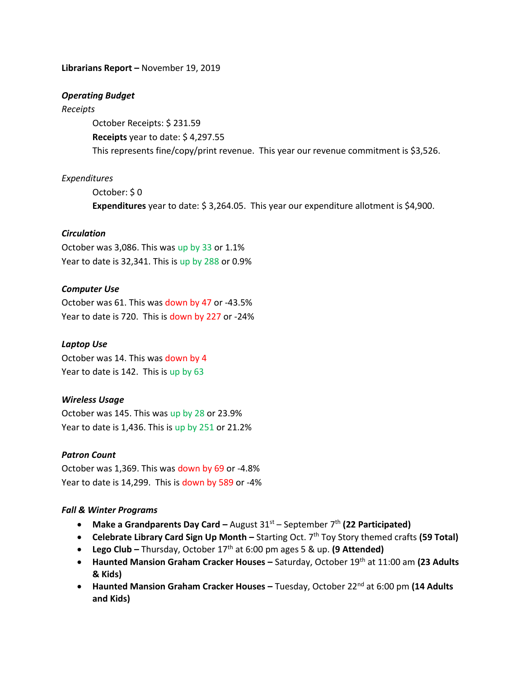#### **Librarians Report –** November 19, 2019

#### *Operating Budget*

#### *Receipts*

October Receipts: \$ 231.59 **Receipts** year to date: \$ 4,297.55 This represents fine/copy/print revenue. This year our revenue commitment is \$3,526.

### *Expenditures*

October: \$ 0 **Expenditures** year to date: \$ 3,264.05. This year our expenditure allotment is \$4,900.

### *Circulation*

October was 3,086. This was up by 33 or 1.1% Year to date is 32,341. This is up by 288 or 0.9%

### *Computer Use*

October was 61. This was down by 47 or -43.5% Year to date is 720. This is down by 227 or -24%

### *Laptop Use*

October was 14. This was down by 4 Year to date is 142. This is up by 63

### *Wireless Usage*

October was 145. This was up by 28 or 23.9% Year to date is 1,436. This is up by 251 or 21.2%

### *Patron Count*

October was 1,369. This was down by 69 or -4.8% Year to date is 14,299. This is down by 589 or -4%

### *Fall & Winter Programs*

- **•** Make a Grandparents Day Card August 31<sup>st</sup> September 7<sup>th</sup> (22 Participated)
- **Celebrate Library Card Sign Up Month** Starting Oct. 7<sup>th</sup> Toy Story themed crafts **(59 Total)**
- Lego Club Thursday, October 17<sup>th</sup> at 6:00 pm ages 5 & up. (9 Attended)
- **Haunted Mansion Graham Cracker Houses** Saturday, October 19<sup>th</sup> at 11:00 am (23 Adults **& Kids)**
- **Haunted Mansion Graham Cracker Houses –** Tuesday, October 22<sup>nd</sup> at 6:00 pm (14 Adults **and Kids)**